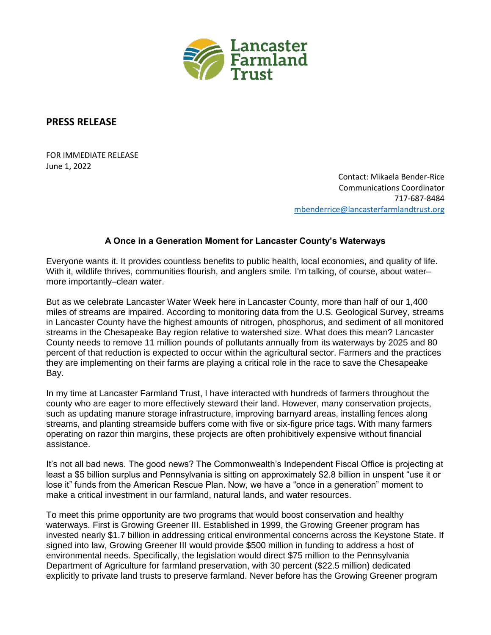

## **PRESS RELEASE**

FOR IMMEDIATE RELEASE June 1, 2022

> Contact: Mikaela Bender-Rice Communications Coordinator 717-687-8484 [mbenderrice@lancasterfarmlandtrust.org](mailto:mbenderrice@lancasterfarmlandtrust.org)

## **A Once in a Generation Moment for Lancaster County's Waterways**

Everyone wants it. It provides countless benefits to public health, local economies, and quality of life. With it, wildlife thrives, communities flourish, and anglers smile. I'm talking, of course, about water– more importantly–clean water.

But as we celebrate Lancaster Water Week here in Lancaster County, more than half of our 1,400 miles of streams are impaired. According to monitoring data from the U.S. Geological Survey, streams in Lancaster County have the highest amounts of nitrogen, phosphorus, and sediment of all monitored streams in the Chesapeake Bay region relative to watershed size. What does this mean? Lancaster County needs to remove 11 million pounds of pollutants annually from its waterways by 2025 and 80 percent of that reduction is expected to occur within the agricultural sector. Farmers and the practices they are implementing on their farms are playing a critical role in the race to save the Chesapeake Bay.

In my time at Lancaster Farmland Trust, I have interacted with hundreds of farmers throughout the county who are eager to more effectively steward their land. However, many conservation projects, such as updating manure storage infrastructure, improving barnyard areas, installing fences along streams, and planting streamside buffers come with five or six-figure price tags. With many farmers operating on razor thin margins, these projects are often prohibitively expensive without financial assistance.

It's not all bad news. The good news? The Commonwealth's Independent Fiscal Office is projecting at least a \$5 billion surplus and Pennsylvania is sitting on approximately \$2.8 billion in unspent "use it or lose it" funds from the American Rescue Plan. Now, we have a "once in a generation" moment to make a critical investment in our farmland, natural lands, and water resources.

To meet this prime opportunity are two programs that would boost conservation and healthy waterways. First is Growing Greener III. Established in 1999, the Growing Greener program has invested nearly \$1.7 billion in addressing critical environmental concerns across the Keystone State. If signed into law, Growing Greener III would provide \$500 million in funding to address a host of environmental needs. Specifically, the legislation would direct \$75 million to the Pennsylvania Department of Agriculture for farmland preservation, with 30 percent (\$22.5 million) dedicated explicitly to private land trusts to preserve farmland. Never before has the Growing Greener program